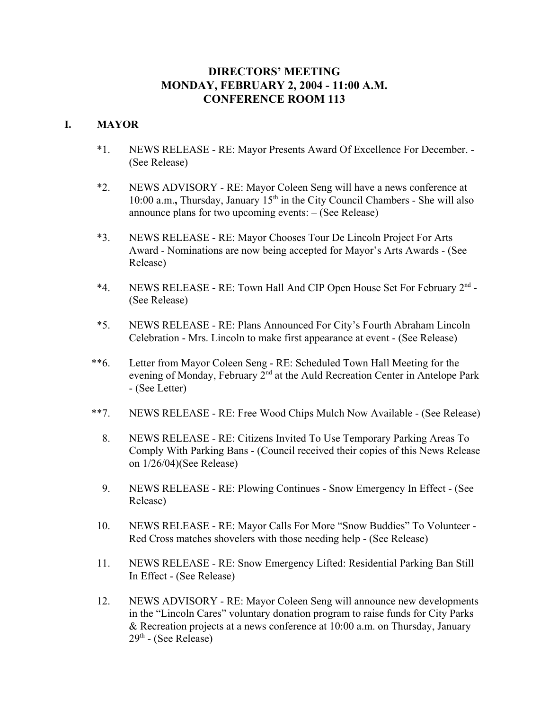# **DIRECTORS' MEETING MONDAY, FEBRUARY 2, 2004 - 11:00 A.M. CONFERENCE ROOM 113**

# **I. MAYOR**

- \*1. NEWS RELEASE RE: Mayor Presents Award Of Excellence For December. (See Release)
- \*2. NEWS ADVISORY RE: Mayor Coleen Seng will have a news conference at 10:00 a.m., Thursday, January 15<sup>th</sup> in the City Council Chambers - She will also announce plans for two upcoming events: – (See Release)
- \*3. NEWS RELEASE RE: Mayor Chooses Tour De Lincoln Project For Arts Award - Nominations are now being accepted for Mayor's Arts Awards - (See Release)
- \*4. NEWS RELEASE RE: Town Hall And CIP Open House Set For February  $2^{nd}$  -(See Release)
- \*5. NEWS RELEASE RE: Plans Announced For City's Fourth Abraham Lincoln Celebration - Mrs. Lincoln to make first appearance at event - (See Release)
- \*\*6. Letter from Mayor Coleen Seng RE: Scheduled Town Hall Meeting for the evening of Monday, February  $2<sup>nd</sup>$  at the Auld Recreation Center in Antelope Park - (See Letter)
- \*\*7. NEWS RELEASE RE: Free Wood Chips Mulch Now Available (See Release)
	- 8. NEWS RELEASE RE: Citizens Invited To Use Temporary Parking Areas To Comply With Parking Bans - (Council received their copies of this News Release on 1/26/04)(See Release)
	- 9. NEWS RELEASE RE: Plowing Continues Snow Emergency In Effect (See Release)
- 10. NEWS RELEASE RE: Mayor Calls For More "Snow Buddies" To Volunteer Red Cross matches shovelers with those needing help - (See Release)
- 11. NEWS RELEASE RE: Snow Emergency Lifted: Residential Parking Ban Still In Effect - (See Release)
- 12. NEWS ADVISORY RE: Mayor Coleen Seng will announce new developments in the "Lincoln Cares" voluntary donation program to raise funds for City Parks & Recreation projects at a news conference at 10:00 a.m. on Thursday, January  $29<sup>th</sup>$  - (See Release)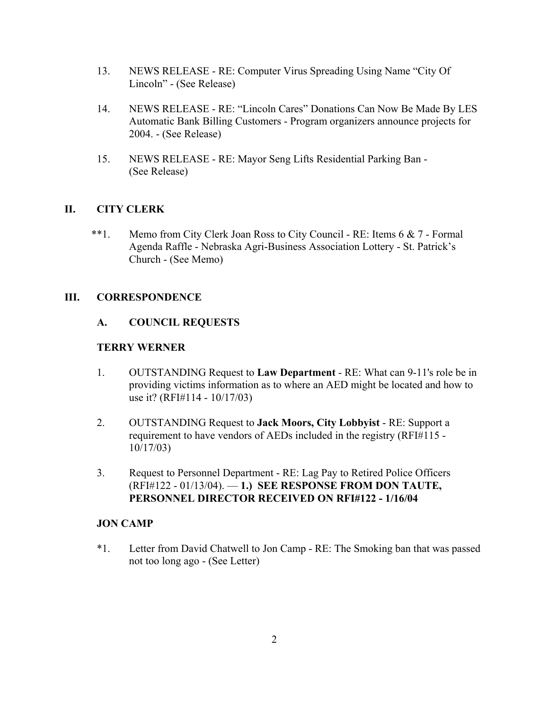- 13. NEWS RELEASE RE: Computer Virus Spreading Using Name "City Of Lincoln" - (See Release)
- 14. NEWS RELEASE RE: "Lincoln Cares" Donations Can Now Be Made By LES Automatic Bank Billing Customers - Program organizers announce projects for 2004. - (See Release)
- 15. NEWS RELEASE RE: Mayor Seng Lifts Residential Parking Ban (See Release)

# **II. CITY CLERK**

 \*\*1. Memo from City Clerk Joan Ross to City Council - RE: Items 6 & 7 - Formal Agenda Raffle - Nebraska Agri-Business Association Lottery - St. Patrick's Church - (See Memo)

# **III. CORRESPONDENCE**

# **A. COUNCIL REQUESTS**

# **TERRY WERNER**

- 1. OUTSTANDING Request to **Law Department** RE: What can 9-11's role be in providing victims information as to where an AED might be located and how to use it? (RFI#114 - 10/17/03)
- 2. OUTSTANDING Request to **Jack Moors, City Lobbyist** RE: Support a requirement to have vendors of AEDs included in the registry (RFI#115 - 10/17/03)
- 3. Request to Personnel Department RE: Lag Pay to Retired Police Officers (RFI#122 - 01/13/04). — **1.) SEE RESPONSE FROM DON TAUTE, PERSONNEL DIRECTOR RECEIVED ON RFI#122 - 1/16/04**

### **JON CAMP**

\*1. Letter from David Chatwell to Jon Camp - RE: The Smoking ban that was passed not too long ago - (See Letter)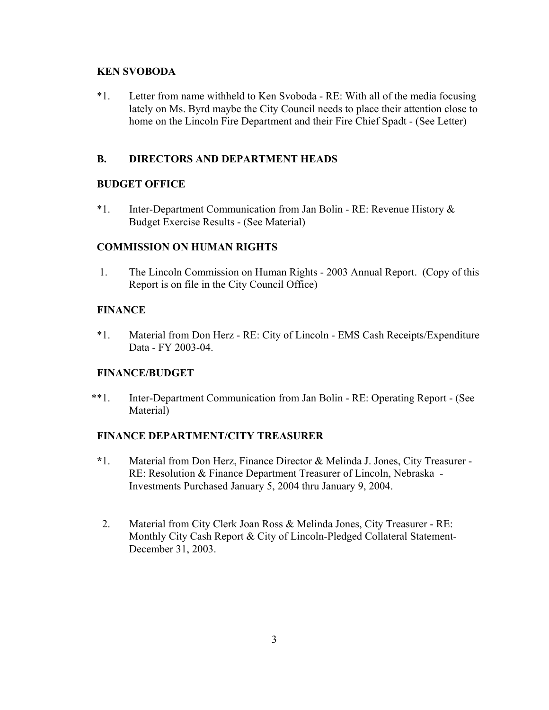### **KEN SVOBODA**

\*1. Letter from name withheld to Ken Svoboda - RE: With all of the media focusing lately on Ms. Byrd maybe the City Council needs to place their attention close to home on the Lincoln Fire Department and their Fire Chief Spadt - (See Letter)

# **B. DIRECTORS AND DEPARTMENT HEADS**

# **BUDGET OFFICE**

\*1. Inter-Department Communication from Jan Bolin - RE: Revenue History & Budget Exercise Results - (See Material)

# **COMMISSION ON HUMAN RIGHTS**

 1. The Lincoln Commission on Human Rights - 2003 Annual Report. (Copy of this Report is on file in the City Council Office)

# **FINANCE**

\*1. Material from Don Herz - RE: City of Lincoln - EMS Cash Receipts/Expenditure Data - FY 2003-04.

### **FINANCE/BUDGET**

\*\*1. Inter-Department Communication from Jan Bolin - RE: Operating Report - (See Material)

### **FINANCE DEPARTMENT/CITY TREASURER**

- **\***1. Material from Don Herz, Finance Director & Melinda J. Jones, City Treasurer RE: Resolution & Finance Department Treasurer of Lincoln, Nebraska - Investments Purchased January 5, 2004 thru January 9, 2004.
- 2. Material from City Clerk Joan Ross & Melinda Jones, City Treasurer RE: Monthly City Cash Report & City of Lincoln-Pledged Collateral Statement-December 31, 2003.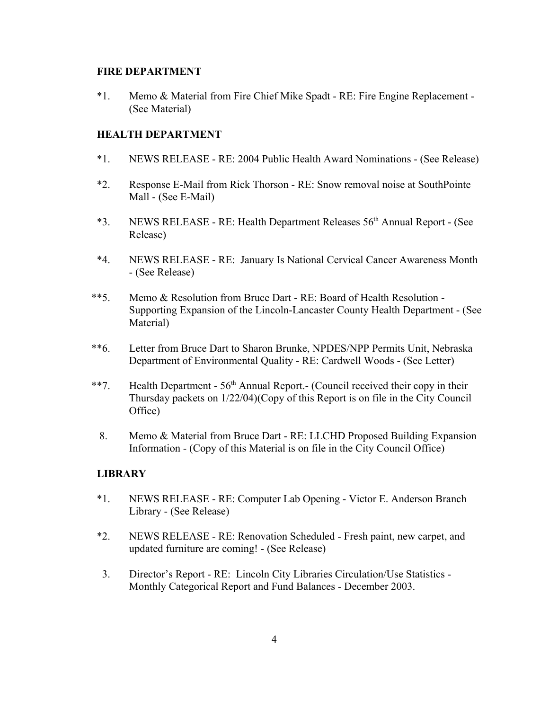#### **FIRE DEPARTMENT**

\*1. Memo & Material from Fire Chief Mike Spadt - RE: Fire Engine Replacement - (See Material)

### **HEALTH DEPARTMENT**

- \*1. NEWS RELEASE RE: 2004 Public Health Award Nominations (See Release)
- \*2. Response E-Mail from Rick Thorson RE: Snow removal noise at SouthPointe Mall - (See E-Mail)
- \*3. NEWS RELEASE RE: Health Department Releases 56th Annual Report (See Release)
- \*4. NEWS RELEASE RE: January Is National Cervical Cancer Awareness Month - (See Release)
- \*\*5. Memo & Resolution from Bruce Dart RE: Board of Health Resolution Supporting Expansion of the Lincoln-Lancaster County Health Department - (See Material)
- \*\*6. Letter from Bruce Dart to Sharon Brunke, NPDES/NPP Permits Unit, Nebraska Department of Environmental Quality - RE: Cardwell Woods - (See Letter)
- \*\*7. Health Department  $56<sup>th</sup>$  Annual Report.- (Council received their copy in their Thursday packets on 1/22/04)(Copy of this Report is on file in the City Council Office)
	- 8. Memo & Material from Bruce Dart RE: LLCHD Proposed Building Expansion Information - (Copy of this Material is on file in the City Council Office)

# **LIBRARY**

- \*1. NEWS RELEASE RE: Computer Lab Opening Victor E. Anderson Branch Library - (See Release)
- \*2. NEWS RELEASE RE: Renovation Scheduled Fresh paint, new carpet, and updated furniture are coming! - (See Release)
- 3. Director's Report RE: Lincoln City Libraries Circulation/Use Statistics Monthly Categorical Report and Fund Balances - December 2003.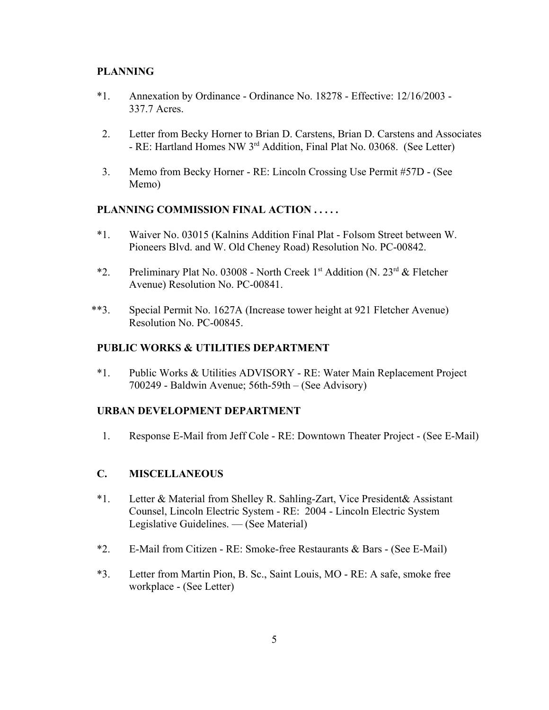# **PLANNING**

- \*1. Annexation by Ordinance Ordinance No. 18278 Effective: 12/16/2003 337.7 Acres.
- 2. Letter from Becky Horner to Brian D. Carstens, Brian D. Carstens and Associates - RE: Hartland Homes NW 3rd Addition, Final Plat No. 03068. (See Letter)
- 3. Memo from Becky Horner RE: Lincoln Crossing Use Permit #57D (See Memo)

# **PLANNING COMMISSION FINAL ACTION . . . . .**

- \*1. Waiver No. 03015 (Kalnins Addition Final Plat Folsom Street between W. Pioneers Blvd. and W. Old Cheney Road) Resolution No. PC-00842.
- \*2. Preliminary Plat No. 03008 North Creek 1st Addition (N.  $23^{rd}$  & Fletcher Avenue) Resolution No. PC-00841.
- \*\*3. Special Permit No. 1627A (Increase tower height at 921 Fletcher Avenue) Resolution No. PC-00845.

#### **PUBLIC WORKS & UTILITIES DEPARTMENT**

\*1. Public Works & Utilities ADVISORY - RE: Water Main Replacement Project 700249 - Baldwin Avenue; 56th-59th – (See Advisory)

#### **URBAN DEVELOPMENT DEPARTMENT**

1. Response E-Mail from Jeff Cole - RE: Downtown Theater Project - (See E-Mail)

# **C. MISCELLANEOUS**

- \*1. Letter & Material from Shelley R. Sahling-Zart, Vice President& Assistant Counsel, Lincoln Electric System - RE: 2004 - Lincoln Electric System Legislative Guidelines. — (See Material)
- \*2. E-Mail from Citizen RE: Smoke-free Restaurants & Bars (See E-Mail)
- \*3. Letter from Martin Pion, B. Sc., Saint Louis, MO RE: A safe, smoke free workplace - (See Letter)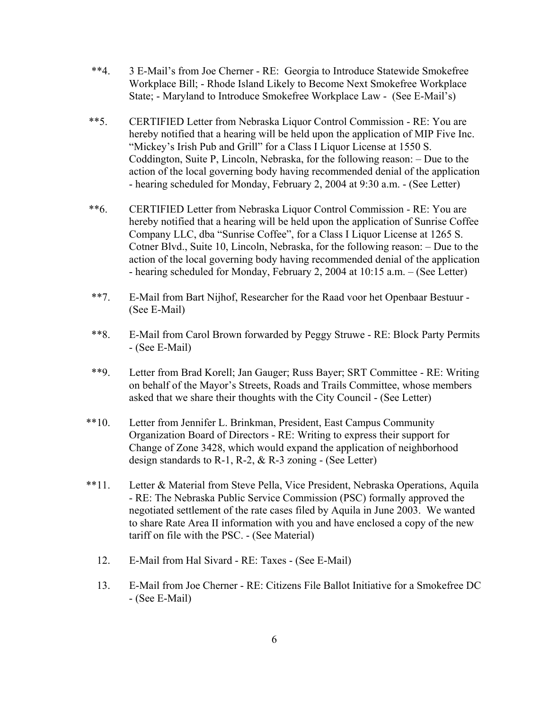- \*\*4. 3 E-Mail's from Joe Cherner RE: Georgia to Introduce Statewide Smokefree Workplace Bill; - Rhode Island Likely to Become Next Smokefree Workplace State; - Maryland to Introduce Smokefree Workplace Law - (See E-Mail's)
- \*\*5. CERTIFIED Letter from Nebraska Liquor Control Commission RE: You are hereby notified that a hearing will be held upon the application of MIP Five Inc. "Mickey's Irish Pub and Grill" for a Class I Liquor License at 1550 S. Coddington, Suite P, Lincoln, Nebraska, for the following reason: – Due to the action of the local governing body having recommended denial of the application - hearing scheduled for Monday, February 2, 2004 at 9:30 a.m. - (See Letter)
- \*\*6. CERTIFIED Letter from Nebraska Liquor Control Commission RE: You are hereby notified that a hearing will be held upon the application of Sunrise Coffee Company LLC, dba "Sunrise Coffee", for a Class I Liquor License at 1265 S. Cotner Blvd., Suite 10, Lincoln, Nebraska, for the following reason: – Due to the action of the local governing body having recommended denial of the application - hearing scheduled for Monday, February 2, 2004 at 10:15 a.m. – (See Letter)
- \*\*7. E-Mail from Bart Nijhof, Researcher for the Raad voor het Openbaar Bestuur (See E-Mail)
- \*\*8. E-Mail from Carol Brown forwarded by Peggy Struwe RE: Block Party Permits - (See E-Mail)
- \*\*9. Letter from Brad Korell; Jan Gauger; Russ Bayer; SRT Committee RE: Writing on behalf of the Mayor's Streets, Roads and Trails Committee, whose members asked that we share their thoughts with the City Council - (See Letter)
- \*\*10. Letter from Jennifer L. Brinkman, President, East Campus Community Organization Board of Directors - RE: Writing to express their support for Change of Zone 3428, which would expand the application of neighborhood design standards to R-1, R-2, & R-3 zoning - (See Letter)
- \*\*11. Letter & Material from Steve Pella, Vice President, Nebraska Operations, Aquila - RE: The Nebraska Public Service Commission (PSC) formally approved the negotiated settlement of the rate cases filed by Aquila in June 2003. We wanted to share Rate Area II information with you and have enclosed a copy of the new tariff on file with the PSC. - (See Material)
	- 12. E-Mail from Hal Sivard RE: Taxes (See E-Mail)
	- 13. E-Mail from Joe Cherner RE: Citizens File Ballot Initiative for a Smokefree DC - (See E-Mail)